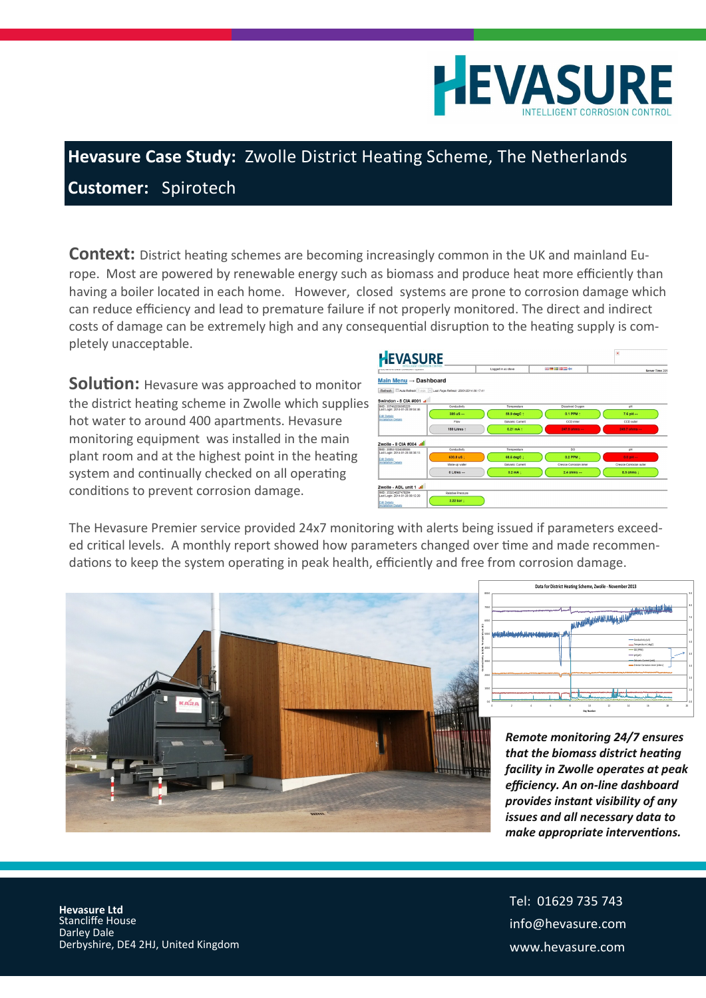

## **Hevasure Case Study:** Zwolle District Heating Scheme, The Netherlands **Customer:** Spirotech

**Context:** District heating schemes are becoming increasingly common in the UK and mainland Europe. Most are powered by renewable energy such as biomass and produce heat more efficiently than having a boiler located in each home. However, closed systems are prone to corrosion damage which can reduce efficiency and lead to premature failure if not properly monitored. The direct and indirect costs of damage can be extremely high and any consequential disruption to the heating supply is completely unacceptable.

**Solution:** Hevasure was approached to monitor the district heating scheme in Zwolle which supplies hot water to around 400 apartments. Hevasure monitoring equipment was installed in the main plant room and at the highest point in the heating system and continually checked on all operating conditions to prevent corrosion damage.



The Hevasure Premier service provided 24x7 monitoring with alerts being issued if parameters exceeded critical levels. A monthly report showed how parameters changed over time and made recommendations to keep the system operating in peak health, efficiently and free from corrosion damage.



*Remote monitoring 24/7 ensures that the biomass district heating facility in Zwolle operates at peak efficiency. An on-line dashboard provides instant visibility of any issues and all necessary data to make appropriate interventions.*

**Data for District Heating Scheme, Zwolle - November 2013**

0.0 1.0 2.0 3.0 4.0 5.0 6.0 7.0 8.0 9.0

Conductivity (uS) Temperature ( degC) DO (PPM) pH (pH) Galvanic Current (mA) Crevice Corrosion inner (ohms)

 **Hevasure Ltd** Stancliffe House Darley Dale Derbyshire, DE4 2HJ, United Kingdom Tel: 01629 735 743 info@hevasure.com www.hevasure.com